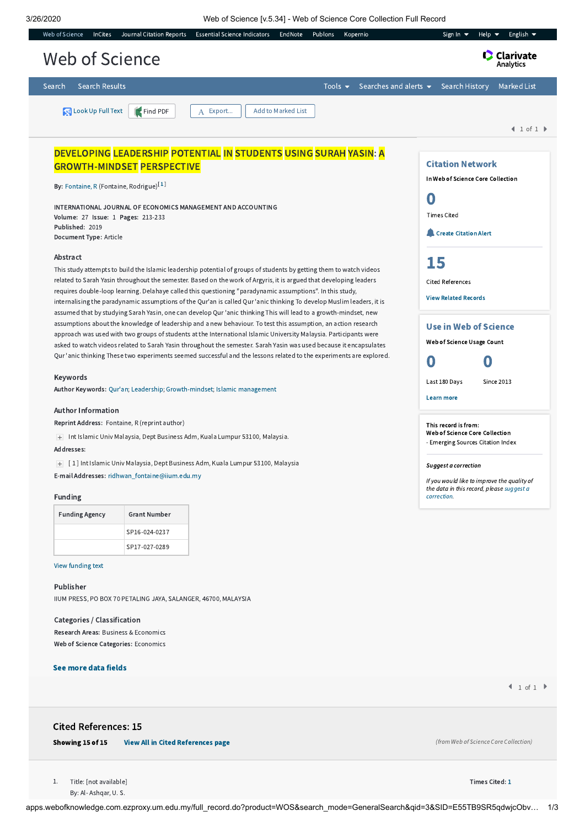3/26/2020 Web of Science [v.5.34] - Web of Science Core Collection Full Record

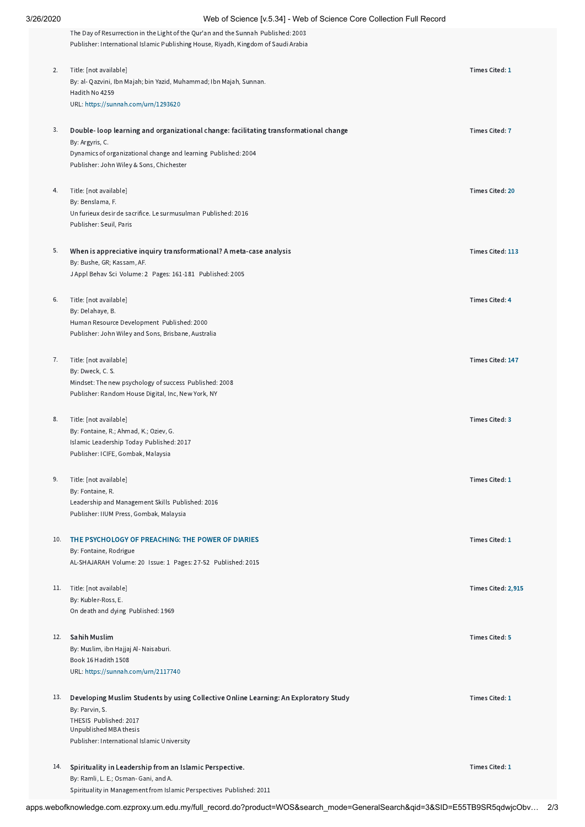|     | The Day of Resurrection in the Light of the Qur'an and the Sunnah Published: 2003<br>Publisher: International Islamic Publishing House, Riyadh, Kingdom of Saudi Arabia |                        |
|-----|-------------------------------------------------------------------------------------------------------------------------------------------------------------------------|------------------------|
| 2.  | Title: [not available]<br>By: al- Qazvini, Ibn Majah; bin Yazid, Muhammad; Ibn Majah, Sunnan.                                                                           | Times Cited: 1         |
|     | Hadith No 4259<br>URL: https://sunnah.com/urn/1293620                                                                                                                   |                        |
|     |                                                                                                                                                                         |                        |
| 3.  | Double-loop learning and organizational change: facilitating transformational change<br>By: Argyris, C.                                                                 | <b>Times Cited: 7</b>  |
|     | Dynamics of organizational change and learning Published: 2004                                                                                                          |                        |
|     | Publisher: John Wiley & Sons, Chichester                                                                                                                                |                        |
| 4.  | Title: [not available]                                                                                                                                                  | <b>Times Cited: 20</b> |
|     | By: Benslama, F.<br>Un furieux desir de sacrifice. Le surmusulman Published: 2016                                                                                       |                        |
|     | Publisher: Seuil, Paris                                                                                                                                                 |                        |
| 5.  | When is appreciative inquiry transformational? A meta-case analysis                                                                                                     | Times Cited: 113       |
|     | By: Bushe, GR; Kassam, AF.<br>J Appl Behav Sci Volume: 2 Pages: 161-181 Published: 2005                                                                                 |                        |
| 6.  | Title: [not available]                                                                                                                                                  | <b>Times Cited: 4</b>  |
|     | By: Delahaye, B.<br>Human Resource Development Published: 2000                                                                                                          |                        |
|     | Publisher: John Wiley and Sons, Brisbane, Australia                                                                                                                     |                        |
| 7.  | Title: [not available]                                                                                                                                                  | Times Cited: 147       |
|     | By: Dweck, C. S.                                                                                                                                                        |                        |
|     | Mindset: The new psychology of success Published: 2008<br>Publisher: Random House Digital, Inc, New York, NY                                                            |                        |
|     |                                                                                                                                                                         |                        |
| 8.  | Title: [not available]<br>By: Fontaine, R.; Ahmad, K.; Oziev, G.                                                                                                        | <b>Times Cited: 3</b>  |
|     | Islamic Leadership Today Published: 2017                                                                                                                                |                        |
|     | Publisher: ICIFE, Gombak, Malaysia                                                                                                                                      |                        |
| 9.  | Title: [not available]                                                                                                                                                  | Times Cited: 1         |
|     | By: Fontaine, R.<br>Leadership and Management Skills Published: 2016                                                                                                    |                        |
|     | Publisher: IIUM Press, Gombak, Malaysia                                                                                                                                 |                        |
| 10. | THE PSYCHOLOGY OF PREACHING: THE POWER OF DIARIES                                                                                                                       | <b>Times Cited: 1</b>  |
|     | By: Fontaine, Rodrigue<br>AL-SHAJARAH Volume: 20 Issue: 1 Pages: 27-52 Published: 2015                                                                                  |                        |
|     | 11. Title: [not available]                                                                                                                                              | Times Cited: 2,915     |
|     | By: Kubler-Ross, E.                                                                                                                                                     |                        |
|     | On death and dying Published: 1969                                                                                                                                      |                        |
| 12. | <b>Sahih Muslim</b>                                                                                                                                                     | <b>Times Cited: 5</b>  |
|     | By: Muslim, ibn Hajjaj Al- Naisaburi.<br>Book 16 Hadith 1508                                                                                                            |                        |
|     | URL: https://sunnah.com/urn/2117740                                                                                                                                     |                        |
| 13. | Developing Muslim Students by using Collective Online Learning: An Exploratory Study                                                                                    | Times Cited: 1         |
|     | By: Parvin, S.<br>THESIS Published: 2017                                                                                                                                |                        |
|     | Unpublished MBA thesis                                                                                                                                                  |                        |
|     | Publisher: International Islamic University                                                                                                                             |                        |
| 14. | Spirituality in Leadership from an Islamic Perspective.                                                                                                                 | Times Cited: 1         |
|     | By: Ramli, L. E.; Osman- Gani, and A.<br>Spirituality in Management from Islamic Perspectives Published: 2011                                                           |                        |